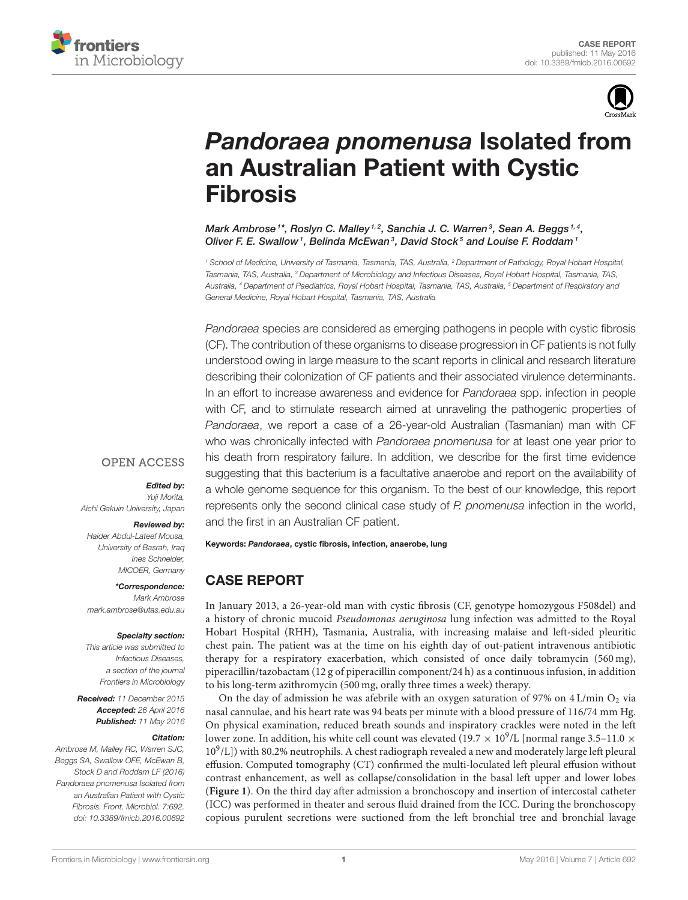



# *Pandoraea pnomenusa* Isolated from [an Australian Patient with Cystic](http://journal.frontiersin.org/article/10.3389/fmicb.2016.00692/abstract) Fibrosis

[Mark Ambrose](http://loop.frontiersin.org/people/267484/overview)  $^{\text{1*}},$  Roslyn C. Malley  $^{\text{1,2}},$  Sanchia J. C. Warren $^{\text{3}},$  [Sean A. Beggs](http://loop.frontiersin.org/people/301695/overview)  $^{\text{1,4}},$ [Oliver F. E. Swallow](http://loop.frontiersin.org/people/301448/overview)<sup>1</sup>, Belinda McEwan<sup>3</sup>, David Stock<sup>5</sup> and [Louise F. Roddam](http://loop.frontiersin.org/people/301340/overview)<sup>1</sup>

*<sup>1</sup> School of Medicine, University of Tasmania, Tasmania, TAS, Australia, <sup>2</sup> Department of Pathology, Royal Hobart Hospital, Tasmania, TAS, Australia, <sup>3</sup> Department of Microbiology and Infectious Diseases, Royal Hobart Hospital, Tasmania, TAS, Australia, <sup>4</sup> Department of Paediatrics, Royal Hobart Hospital, Tasmania, TAS, Australia, <sup>5</sup> Department of Respiratory and General Medicine, Royal Hobart Hospital, Tasmania, TAS, Australia*

*Pandoraea* species are considered as emerging pathogens in people with cystic fibrosis (CF). The contribution of these organisms to disease progression in CF patients is not fully understood owing in large measure to the scant reports in clinical and research literature describing their colonization of CF patients and their associated virulence determinants. In an effort to increase awareness and evidence for *Pandoraea* spp. infection in people with CF, and to stimulate research aimed at unraveling the pathogenic properties of *Pandoraea*, we report a case of a 26-year-old Australian (Tasmanian) man with CF who was chronically infected with *Pandoraea pnomenusa* for at least one year prior to his death from respiratory failure. In addition, we describe for the first time evidence suggesting that this bacterium is a facultative anaerobe and report on the availability of a whole genome sequence for this organism. To the best of our knowledge, this report represents only the second clinical case study of *P. pnomenusa* infection in the world, and the first in an Australian CF patient.

### **OPEN ACCESS**

### *Edited by:*

*Yuji Morita, Aichi Gakuin University, Japan*

#### *Reviewed by:*

*Haider Abdul-Lateef Mousa, University of Basrah, Iraq Ines Schneider, MICOER, Germany*

*\*Correspondence: Mark Ambrose [mark.ambrose@utas.edu.au](mailto:mark.ambrose@utas.edu.au)*

#### *Specialty section:*

*This article was submitted to Infectious Diseases, a section of the journal Frontiers in Microbiology*

*Received: 11 December 2015 Accepted: 26 April 2016 Published: 11 May 2016*

#### *Citation:*

*Ambrose M, Malley RC, Warren SJC, Beggs SA, Swallow OFE, McEwan B, Stock D and Roddam LF (2016) Pandoraea pnomenusa Isolated from an Australian Patient with Cystic Fibrosis. Front. Microbiol. 7:692. doi: [10.3389/fmicb.2016.00692](http://dx.doi.org/10.3389/fmicb.2016.00692)* Keywords: *Pandoraea*, cystic fibrosis, infection, anaerobe, lung

# CASE REPORT

In January 2013, a 26-year-old man with cystic fibrosis (CF, genotype homozygous F508del) and a history of chronic mucoid Pseudomonas aeruginosa lung infection was admitted to the Royal Hobart Hospital (RHH), Tasmania, Australia, with increasing malaise and left-sided pleuritic chest pain. The patient was at the time on his eighth day of out-patient intravenous antibiotic therapy for a respiratory exacerbation, which consisted of once daily tobramycin (560 mg), piperacillin/tazobactam (12 g of piperacillin component/24 h) as a continuous infusion, in addition to his long-term azithromycin (500 mg, orally three times a week) therapy.

On the day of admission he was afebrile with an oxygen saturation of 97% on  $4 \text{ L/min O}_2$  via nasal cannulae, and his heart rate was 94 beats per minute with a blood pressure of 116/74 mm Hg. On physical examination, reduced breath sounds and inspiratory crackles were noted in the left lower zone. In addition, his white cell count was elevated (19.7  $\times$  10<sup>9</sup>/L [normal range 3.5-11.0  $\times$ 10<sup>9</sup>/L]) with 80.2% neutrophils. A chest radiograph revealed a new and moderately large left pleural effusion. Computed tomography (CT) confirmed the multi-loculated left pleural effusion without contrast enhancement, as well as collapse/consolidation in the basal left upper and lower lobes (**[Figure 1](#page-1-0)**). On the third day after admission a bronchoscopy and insertion of intercostal catheter (ICC) was performed in theater and serous fluid drained from the ICC. During the bronchoscopy copious purulent secretions were suctioned from the left bronchial tree and bronchial lavage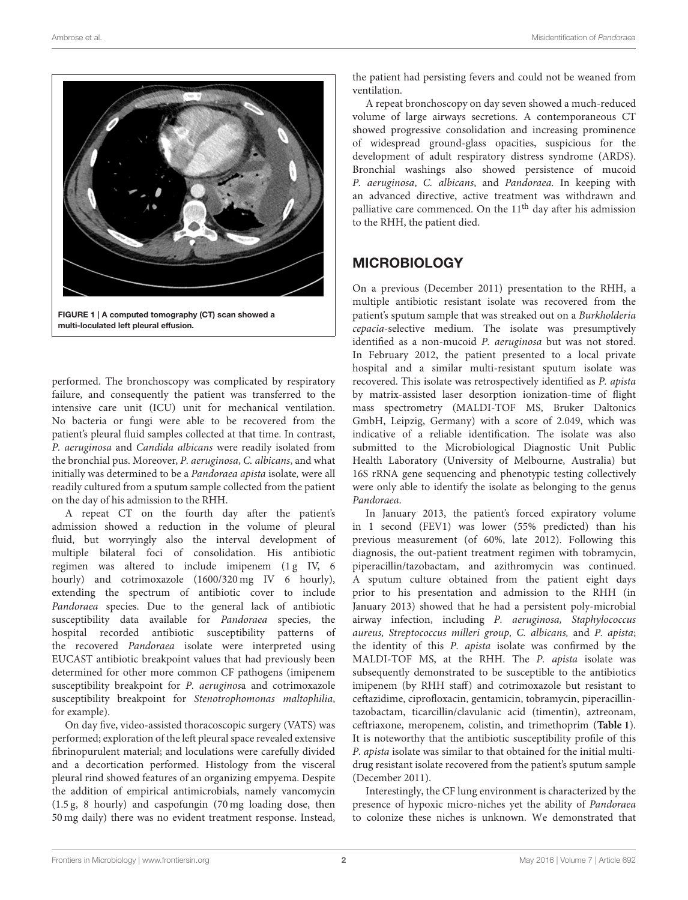

FIGURE 1 | A computed tomography (CT) scan showed a multi-loculated left pleural effusion.

<span id="page-1-0"></span>performed. The bronchoscopy was complicated by respiratory failure, and consequently the patient was transferred to the intensive care unit (ICU) unit for mechanical ventilation. No bacteria or fungi were able to be recovered from the patient's pleural fluid samples collected at that time. In contrast, P. aeruginosa and Candida albicans were readily isolated from the bronchial pus. Moreover, P. aeruginosa, C. albicans, and what initially was determined to be a Pandoraea apista isolate, were all readily cultured from a sputum sample collected from the patient on the day of his admission to the RHH.

A repeat CT on the fourth day after the patient's admission showed a reduction in the volume of pleural fluid, but worryingly also the interval development of multiple bilateral foci of consolidation. His antibiotic regimen was altered to include imipenem (1g IV, 6 hourly) and cotrimoxazole (1600/320 mg IV 6 hourly), extending the spectrum of antibiotic cover to include Pandoraea species. Due to the general lack of antibiotic susceptibility data available for Pandoraea species, the hospital recorded antibiotic susceptibility patterns of the recovered Pandoraea isolate were interpreted using EUCAST antibiotic breakpoint values that had previously been determined for other more common CF pathogens (imipenem susceptibility breakpoint for P. aeruginosa and cotrimoxazole susceptibility breakpoint for Stenotrophomonas maltophilia, for example).

On day five, video-assisted thoracoscopic surgery (VATS) was performed; exploration of the left pleural space revealed extensive fibrinopurulent material; and loculations were carefully divided and a decortication performed. Histology from the visceral pleural rind showed features of an organizing empyema. Despite the addition of empirical antimicrobials, namely vancomycin (1.5 g, 8 hourly) and caspofungin (70 mg loading dose, then 50 mg daily) there was no evident treatment response. Instead, the patient had persisting fevers and could not be weaned from ventilation.

A repeat bronchoscopy on day seven showed a much-reduced volume of large airways secretions. A contemporaneous CT showed progressive consolidation and increasing prominence of widespread ground-glass opacities, suspicious for the development of adult respiratory distress syndrome (ARDS). Bronchial washings also showed persistence of mucoid P. aeruginosa, C. albicans, and Pandoraea. In keeping with an advanced directive, active treatment was withdrawn and palliative care commenced. On the  $11<sup>th</sup>$  day after his admission to the RHH, the patient died.

# **MICROBIOLOGY**

On a previous (December 2011) presentation to the RHH, a multiple antibiotic resistant isolate was recovered from the patient's sputum sample that was streaked out on a Burkholderia cepacia-selective medium. The isolate was presumptively identified as a non-mucoid P. aeruginosa but was not stored. In February 2012, the patient presented to a local private hospital and a similar multi-resistant sputum isolate was recovered. This isolate was retrospectively identified as P. apista by matrix-assisted laser desorption ionization-time of flight mass spectrometry (MALDI-TOF MS, Bruker Daltonics GmbH, Leipzig, Germany) with a score of 2.049, which was indicative of a reliable identification. The isolate was also submitted to the Microbiological Diagnostic Unit Public Health Laboratory (University of Melbourne, Australia) but 16S rRNA gene sequencing and phenotypic testing collectively were only able to identify the isolate as belonging to the genus Pandoraea.

In January 2013, the patient's forced expiratory volume in 1 second (FEV1) was lower (55% predicted) than his previous measurement (of 60%, late 2012). Following this diagnosis, the out-patient treatment regimen with tobramycin, piperacillin/tazobactam, and azithromycin was continued. A sputum culture obtained from the patient eight days prior to his presentation and admission to the RHH (in January 2013) showed that he had a persistent poly-microbial airway infection, including P. aeruginosa, Staphylococcus aureus, Streptococcus milleri group, C. albicans, and P. apista; the identity of this P. apista isolate was confirmed by the MALDI-TOF MS, at the RHH. The P. apista isolate was subsequently demonstrated to be susceptible to the antibiotics imipenem (by RHH staff) and cotrimoxazole but resistant to ceftazidime, ciprofloxacin, gentamicin, tobramycin, piperacillintazobactam, ticarcillin/clavulanic acid (timentin), aztreonam, ceftriaxone, meropenem, colistin, and trimethoprim (**[Table 1](#page-2-0)**). It is noteworthy that the antibiotic susceptibility profile of this P. apista isolate was similar to that obtained for the initial multidrug resistant isolate recovered from the patient's sputum sample (December 2011).

Interestingly, the CF lung environment is characterized by the presence of hypoxic micro-niches yet the ability of Pandoraea to colonize these niches is unknown. We demonstrated that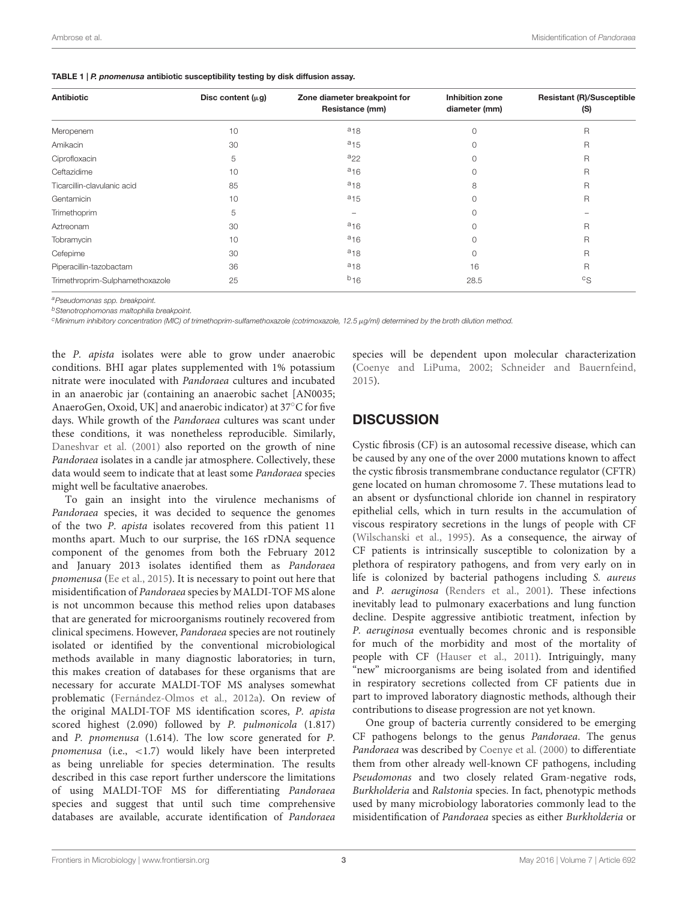<span id="page-2-0"></span>

| TABLE 1   P. pnomenusa antibiotic susceptibility testing by disk diffusion assay. |  |  |  |
|-----------------------------------------------------------------------------------|--|--|--|
|-----------------------------------------------------------------------------------|--|--|--|

| <b>Antibiotic</b>               | Disc content $(\mu g)$ | Zone diameter breakpoint for<br>Resistance (mm) | Inhibition zone<br>diameter (mm) | <b>Resistant (R)/Susceptible</b><br>(S) |
|---------------------------------|------------------------|-------------------------------------------------|----------------------------------|-----------------------------------------|
|                                 |                        |                                                 |                                  |                                         |
| Meropenem                       | 10                     | $a_{18}$                                        | 0                                | $\mathsf{R}$                            |
| Amikacin                        | 30                     | $a_{15}$                                        | 0                                | $\mathsf{R}$                            |
| Ciprofloxacin                   | 5                      | $a_{22}$                                        | 0                                | $\mathsf{R}$                            |
| Ceftazidime                     | 10                     | $a_{16}$                                        | 0                                | $\overline{R}$                          |
| Ticarcillin-clavulanic acid     | 85                     | $a_{18}$                                        | 8                                | $\overline{R}$                          |
| Gentamicin                      | 10                     | $a_{15}$                                        | 0                                | $\overline{R}$                          |
| Trimethoprim                    | 5                      |                                                 | 0                                |                                         |
| Aztreonam                       | 30                     | $a_{16}$                                        | 0                                | $\mathsf{R}$                            |
| Tobramycin                      | 10                     | $a_{16}$                                        | 0                                | $\mathsf{R}$                            |
| Cefepime                        | 30                     | $a_{18}$                                        | 0                                | $\overline{R}$                          |
| Piperacillin-tazobactam         | 36                     | $a_{18}$                                        | 16                               | R                                       |
| Trimethroprim-Sulphamethoxazole | 25                     | $b_{16}$                                        | 28.5                             | ${}^{\circ}S$                           |

*<sup>a</sup>Pseudomonas spp. breakpoint.*

*<sup>b</sup>Stenotrophomonas maltophilia breakpoint.*

*<sup>c</sup>Minimum inhibitory concentration (MIC) of trimethoprim-sulfamethoxazole (cotrimoxazole, 12.5*µ*g/ml) determined by the broth dilution method.*

the P. apista isolates were able to grow under anaerobic conditions. BHI agar plates supplemented with 1% potassium nitrate were inoculated with Pandoraea cultures and incubated in an anaerobic jar (containing an anaerobic sachet [AN0035; AnaeroGen, Oxoid, UK] and anaerobic indicator) at 37◦C for five days. While growth of the Pandoraea cultures was scant under these conditions, it was nonetheless reproducible. Similarly, [Daneshvar et al. \(2001\)](#page-4-0) also reported on the growth of nine Pandoraea isolates in a candle jar atmosphere. Collectively, these data would seem to indicate that at least some Pandoraea species might well be facultative anaerobes.

To gain an insight into the virulence mechanisms of Pandoraea species, it was decided to sequence the genomes of the two P. apista isolates recovered from this patient 11 months apart. Much to our surprise, the 16S rDNA sequence component of the genomes from both the February 2012 and January 2013 isolates identified them as Pandoraea pnomenusa [\(Ee et al., 2015\)](#page-4-1). It is necessary to point out here that misidentification of Pandoraea species by MALDI-TOF MS alone is not uncommon because this method relies upon databases that are generated for microorganisms routinely recovered from clinical specimens. However, Pandoraea species are not routinely isolated or identified by the conventional microbiological methods available in many diagnostic laboratories; in turn, this makes creation of databases for these organisms that are necessary for accurate MALDI-TOF MS analyses somewhat problematic [\(Fernández-Olmos et al., 2012a\)](#page-4-2). On review of the original MALDI-TOF MS identification scores, P. apista scored highest (2.090) followed by P. pulmonicola (1.817) and P. pnomenusa (1.614). The low score generated for P. pnomenusa (i.e., <1.7) would likely have been interpreted as being unreliable for species determination. The results described in this case report further underscore the limitations of using MALDI-TOF MS for differentiating Pandoraea species and suggest that until such time comprehensive databases are available, accurate identification of Pandoraea

species will be dependent upon molecular characterization [\(Coenye and LiPuma, 2002;](#page-4-3) [Schneider and Bauernfeind,](#page-4-4) [2015\)](#page-4-4).

# **DISCUSSION**

Cystic fibrosis (CF) is an autosomal recessive disease, which can be caused by any one of the over 2000 mutations known to affect the cystic fibrosis transmembrane conductance regulator (CFTR) gene located on human chromosome 7. These mutations lead to an absent or dysfunctional chloride ion channel in respiratory epithelial cells, which in turn results in the accumulation of viscous respiratory secretions in the lungs of people with CF [\(Wilschanski et al., 1995\)](#page-4-5). As a consequence, the airway of CF patients is intrinsically susceptible to colonization by a plethora of respiratory pathogens, and from very early on in life is colonized by bacterial pathogens including S. aureus and P. aeruginosa [\(Renders et al., 2001\)](#page-4-6). These infections inevitably lead to pulmonary exacerbations and lung function decline. Despite aggressive antibiotic treatment, infection by P. aeruginosa eventually becomes chronic and is responsible for much of the morbidity and most of the mortality of people with CF [\(Hauser et al., 2011\)](#page-4-7). Intriguingly, many "new" microorganisms are being isolated from and identified in respiratory secretions collected from CF patients due in part to improved laboratory diagnostic methods, although their contributions to disease progression are not yet known.

One group of bacteria currently considered to be emerging CF pathogens belongs to the genus Pandoraea. The genus Pandoraea was described by [Coenye et al. \(2000\)](#page-3-0) to differentiate them from other already well-known CF pathogens, including Pseudomonas and two closely related Gram-negative rods, Burkholderia and Ralstonia species. In fact, phenotypic methods used by many microbiology laboratories commonly lead to the misidentification of Pandoraea species as either Burkholderia or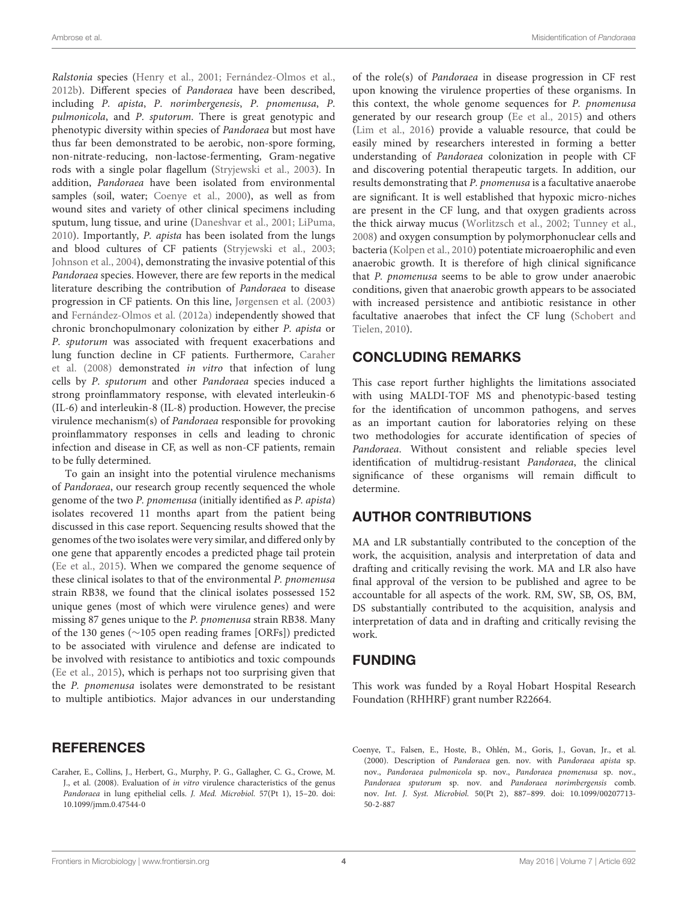Ralstonia species [\(Henry et al., 2001;](#page-4-8) [Fernández-Olmos et al.,](#page-4-9) [2012b\)](#page-4-9). Different species of Pandoraea have been described, including P. apista, P. norimbergenesis, P. pnomenusa, P. pulmonicola, and P. sputorum. There is great genotypic and phenotypic diversity within species of Pandoraea but most have thus far been demonstrated to be aerobic, non-spore forming, non-nitrate-reducing, non-lactose-fermenting, Gram-negative rods with a single polar flagellum [\(Stryjewski et al., 2003\)](#page-4-10). In addition, Pandoraea have been isolated from environmental samples (soil, water; [Coenye et al., 2000\)](#page-3-0), as well as from wound sites and variety of other clinical specimens including sputum, lung tissue, and urine [\(Daneshvar et al., 2001;](#page-4-0) [LiPuma,](#page-4-11) [2010\)](#page-4-11). Importantly, P. apista has been isolated from the lungs and blood cultures of CF patients [\(Stryjewski et al., 2003;](#page-4-10) [Johnson et al., 2004\)](#page-4-12), demonstrating the invasive potential of this Pandoraea species. However, there are few reports in the medical literature describing the contribution of Pandoraea to disease progression in CF patients. On this line, [Jørgensen et al. \(2003\)](#page-4-13) and [Fernández-Olmos et al. \(2012a\)](#page-4-2) independently showed that chronic bronchopulmonary colonization by either P. apista or P. sputorum was associated with frequent exacerbations and lung function decline in CF patients. Furthermore, Caraher et al. [\(2008\)](#page-3-1) demonstrated in vitro that infection of lung cells by P. sputorum and other Pandoraea species induced a strong proinflammatory response, with elevated interleukin-6 (IL-6) and interleukin-8 (IL-8) production. However, the precise virulence mechanism(s) of Pandoraea responsible for provoking proinflammatory responses in cells and leading to chronic infection and disease in CF, as well as non-CF patients, remain to be fully determined.

To gain an insight into the potential virulence mechanisms of Pandoraea, our research group recently sequenced the whole genome of the two P. pnomenusa (initially identified as P. apista) isolates recovered 11 months apart from the patient being discussed in this case report. Sequencing results showed that the genomes of the two isolates were very similar, and differed only by one gene that apparently encodes a predicted phage tail protein [\(Ee et al., 2015\)](#page-4-1). When we compared the genome sequence of these clinical isolates to that of the environmental P. pnomenusa strain RB38, we found that the clinical isolates possessed 152 unique genes (most of which were virulence genes) and were missing 87 genes unique to the P. pnomenusa strain RB38. Many of the 130 genes (∼105 open reading frames [ORFs]) predicted to be associated with virulence and defense are indicated to be involved with resistance to antibiotics and toxic compounds [\(Ee et al., 2015\)](#page-4-1), which is perhaps not too surprising given that the P. pnomenusa isolates were demonstrated to be resistant to multiple antibiotics. Major advances in our understanding

<span id="page-3-1"></span>Caraher, E., Collins, J., Herbert, G., Murphy, P. G., Gallagher, C. G., Crowe, M. J., et al. (2008). Evaluation of in vitro virulence characteristics of the genus Pandoraea in lung epithelial cells. J. Med. Microbiol. 57(Pt 1), 15–20. doi: 10.1099/jmm.0.47544-0

of the role(s) of Pandoraea in disease progression in CF rest upon knowing the virulence properties of these organisms. In this context, the whole genome sequences for P. pnomenusa generated by our research group [\(Ee et al., 2015\)](#page-4-1) and others [\(Lim et al., 2016\)](#page-4-14) provide a valuable resource, that could be easily mined by researchers interested in forming a better understanding of Pandoraea colonization in people with CF and discovering potential therapeutic targets. In addition, our results demonstrating that P. pnomenusa is a facultative anaerobe are significant. It is well established that hypoxic micro-niches are present in the CF lung, and that oxygen gradients across the thick airway mucus [\(Worlitzsch et al., 2002;](#page-4-15) [Tunney et al.,](#page-4-16) [2008\)](#page-4-16) and oxygen consumption by polymorphonuclear cells and bacteria [\(Kolpen et al., 2010\)](#page-4-17) potentiate microaerophilic and even anaerobic growth. It is therefore of high clinical significance that P. pnomenusa seems to be able to grow under anaerobic conditions, given that anaerobic growth appears to be associated with increased persistence and antibiotic resistance in other facultative anaerobes that infect the CF lung (Schobert and Tielen, [2010\)](#page-4-18).

# CONCLUDING REMARKS

This case report further highlights the limitations associated with using MALDI-TOF MS and phenotypic-based testing for the identification of uncommon pathogens, and serves as an important caution for laboratories relying on these two methodologies for accurate identification of species of Pandoraea. Without consistent and reliable species level identification of multidrug-resistant Pandoraea, the clinical significance of these organisms will remain difficult to determine.

## AUTHOR CONTRIBUTIONS

MA and LR substantially contributed to the conception of the work, the acquisition, analysis and interpretation of data and drafting and critically revising the work. MA and LR also have final approval of the version to be published and agree to be accountable for all aspects of the work. RM, SW, SB, OS, BM, DS substantially contributed to the acquisition, analysis and interpretation of data and in drafting and critically revising the work.

## FUNDING

This work was funded by a Royal Hobart Hospital Research Foundation (RHHRF) grant number R22664.

<span id="page-3-0"></span>Coenye, T., Falsen, E., Hoste, B., Ohlén, M., Goris, J., Govan, Jr., et al. (2000). Description of Pandoraea gen. nov. with Pandoraea apista sp. nov., Pandoraea pulmonicola sp. nov., Pandoraea pnomenusa sp. nov., Pandoraea sputorum sp. nov. and Pandoraea norimbergensis comb. nov. Int. J. Syst. Microbiol. 50(Pt 2), 887–899. doi: 10.1099/00207713- 50-2-887